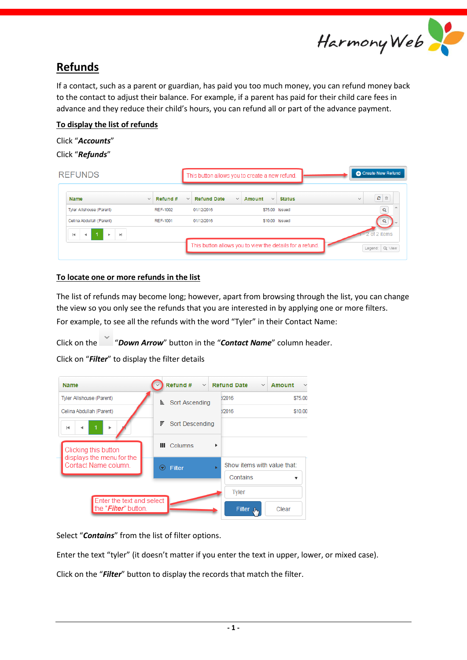

# **Refunds**

If a contact, such as a parent or guardian, has paid you too much money, you can refund money back to the contact to adjust their balance. For example, if a parent has paid for their child care fees in advance and they reduce their child's hours, you can refund all or part of the advance payment.

### **To display the list of refunds**

# Click "*Accounts*"

Click "*Refunds*"

| <b>REFUNDS</b>                                                                 |                          |                                    | This button allows you to create a new refund.           | <b>C</b> Create New Refund       |
|--------------------------------------------------------------------------------|--------------------------|------------------------------------|----------------------------------------------------------|----------------------------------|
| <b>Name</b>                                                                    | Refund #<br>$\checkmark$ | <b>Refund Date</b><br>$\checkmark$ | <b>Status</b><br>Amount<br>$\checkmark$<br>$\checkmark$  | ø<br>û<br>$\checkmark$           |
| Tyler Allshouse (Parent)                                                       | <b>REF-1002</b>          | 01/12/2016                         | \$75.00 Issued                                           | Q                                |
| Celina Abdullah (Parent)                                                       | REF-1001                 | 01/12/2016                         | \$10.00 Issued                                           | Q                                |
| ь<br>$\blacktriangleright$<br>$\vert \mathbf{4} \vert$<br>$\blacktriangleleft$ |                          |                                    | This button allows you to view the details for a refund. | of 2 items<br>Q: View<br>Legend: |

## **To locate one or more refunds in the list**

The list of refunds may become long; however, apart from browsing through the list, you can change the view so you only see the refunds that you are interested in by applying one or more filters. For example, to see all the refunds with the word "Tyler" in their Contact Name:

Click on the "*Down Arrow*" button in the "*Contact Name*" column header.

Click on "*Filter*" to display the filter details

| <b>Name</b>                                                | Refund #              | $\vee$ Refund Date<br><b>Amount</b><br>$\checkmark$<br>$\checkmark$ |
|------------------------------------------------------------|-----------------------|---------------------------------------------------------------------|
| Tyler Allshouse (Parent)                                   | 目。<br>Sort Ascending  | \$75.00<br><b>V2016</b>                                             |
| Celina Abdullah (Parent)                                   |                       | <b>72016</b><br>\$10.00                                             |
| $\vert \cdot \vert$<br>٠                                   | F.<br>Sort Descending |                                                                     |
| Clicking this button                                       | <b>III</b> Columns    | ٠                                                                   |
| displays the menu for the<br>Contact Name column.          | Filter<br>☞           | Show items with value that:<br>ь                                    |
|                                                            |                       | Contains                                                            |
|                                                            |                       | <b>Tyler</b>                                                        |
| Enter the text and select<br>the " <i>Filter</i> " button. |                       | Filter J <sub>bb</sub><br>Clear                                     |

Select "*Contains*" from the list of filter options.

Enter the text "tyler" (it doesn't matter if you enter the text in upper, lower, or mixed case).

Click on the "*Filter*" button to display the records that match the filter.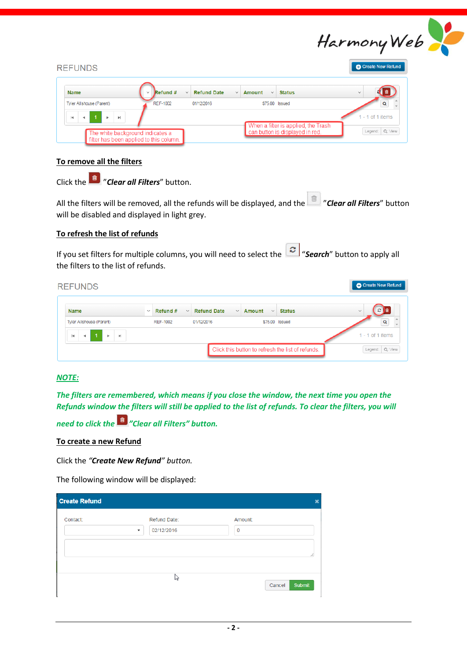

| <b>REFUNDS</b>                                                              |                                    |                                    |                               |                                     | <b>C</b> Create New Refund |
|-----------------------------------------------------------------------------|------------------------------------|------------------------------------|-------------------------------|-------------------------------------|----------------------------|
| <b>Name</b>                                                                 | Refund #<br>$\vee$<br>$\checkmark$ | <b>Refund Date</b><br>$\checkmark$ | <b>Amount</b><br>$\checkmark$ | <b>Status</b>                       | $\checkmark$               |
| Tyler Allshouse (Parent)                                                    | <b>REF-1002</b>                    | 01/12/2016                         |                               | \$75.00 Issued                      |                            |
| $\mathbf{r}$<br>$-1$<br>$\vert \mathbf{r} \vert$<br>$\vert \cdot \vert$     |                                    |                                    |                               | When a filter is applied, the Trash | $-1$ of 1 items            |
| The white background indicates a<br>filter has been applied to this column. |                                    |                                    |                               | can button is displayed in red.     | Legend: Q: View            |

#### **To remove all the filters**

Click the "*Clear all Filters*" button.

All the filters will be removed, all the refunds will be displayed, and the "*Clear all Filters*" button will be disabled and displayed in light grey.

#### **To refresh the list of refunds**

If you set filters for multiple columns, you will need to select the "*Search*" button to apply all the filters to the list of refunds.

| <b>REFUNDS</b>                                                 |              |                          |                                    |                        |                                                   | Create New Refund      |
|----------------------------------------------------------------|--------------|--------------------------|------------------------------------|------------------------|---------------------------------------------------|------------------------|
| <b>Name</b>                                                    | $\checkmark$ | Refund #<br>$\checkmark$ | <b>Refund Date</b><br>$\checkmark$ | Amount<br>$\checkmark$ | <b>Status</b>                                     | я<br>尙<br>$\checkmark$ |
| Tyler Allshouse (Parent)                                       |              | <b>REF-1002</b>          | 01/12/2016                         | \$75.00 Issued         |                                                   | Q                      |
| $\mathbb{R}$<br>$\left\vert \mathbf{r}\right\vert$<br>b.<br>4. |              |                          |                                    |                        |                                                   | $-1$ of 1 items        |
|                                                                |              |                          |                                    |                        | Click this button to refresh the list of refunds. | Q: View<br>Legend:     |

#### *NOTE:*

*The filters are remembered, which means if you close the window, the next time you open the Refunds window the filters will still be applied to the list of refunds. To clear the filters, you will* 

*need to click the "Clear all Filters" button.*

#### **To create a new Refund**

Click the *"Create New Refund" button.*

The following window will be displayed:

| <b>Create Refund</b> |                       |         | ×             |
|----------------------|-----------------------|---------|---------------|
| Contact:             | Refund Date:          | Amount: |               |
|                      | 02/12/2016<br>$\cdot$ | 0       |               |
|                      |                       |         |               |
|                      |                       |         |               |
|                      | p2                    | Cancel  | <b>Submit</b> |